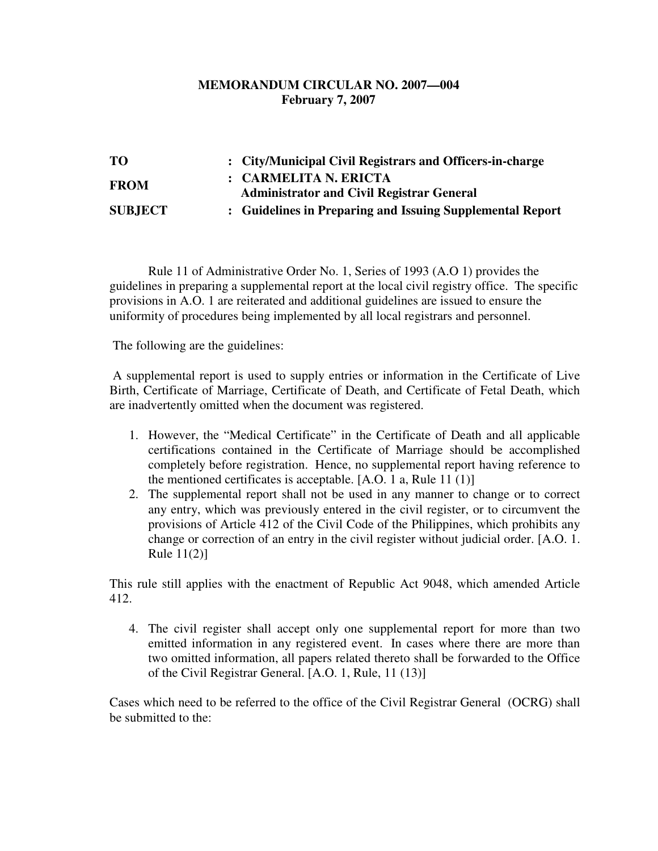## **MEMORANDUM CIRCULAR NO. 2007—004 February 7, 2007**

| TО             | : City/Municipal Civil Registrars and Officers-in-charge  |
|----------------|-----------------------------------------------------------|
| <b>FROM</b>    | : CARMELITA N. ERICTA                                     |
|                | <b>Administrator and Civil Registrar General</b>          |
| <b>SUBJECT</b> | : Guidelines in Preparing and Issuing Supplemental Report |

 Rule 11 of Administrative Order No. 1, Series of 1993 (A.O 1) provides the guidelines in preparing a supplemental report at the local civil registry office. The specific provisions in A.O. 1 are reiterated and additional guidelines are issued to ensure the uniformity of procedures being implemented by all local registrars and personnel.

The following are the guidelines:

 A supplemental report is used to supply entries or information in the Certificate of Live Birth, Certificate of Marriage, Certificate of Death, and Certificate of Fetal Death, which are inadvertently omitted when the document was registered.

- 1. However, the "Medical Certificate" in the Certificate of Death and all applicable certifications contained in the Certificate of Marriage should be accomplished completely before registration. Hence, no supplemental report having reference to the mentioned certificates is acceptable. [A.O. 1 a, Rule 11 (1)]
- 2. The supplemental report shall not be used in any manner to change or to correct any entry, which was previously entered in the civil register, or to circumvent the provisions of Article 412 of the Civil Code of the Philippines, which prohibits any change or correction of an entry in the civil register without judicial order. [A.O. 1. Rule 11(2)]

This rule still applies with the enactment of Republic Act 9048, which amended Article 412.

4. The civil register shall accept only one supplemental report for more than two emitted information in any registered event. In cases where there are more than two omitted information, all papers related thereto shall be forwarded to the Office of the Civil Registrar General. [A.O. 1, Rule, 11 (13)]

Cases which need to be referred to the office of the Civil Registrar General (OCRG) shall be submitted to the: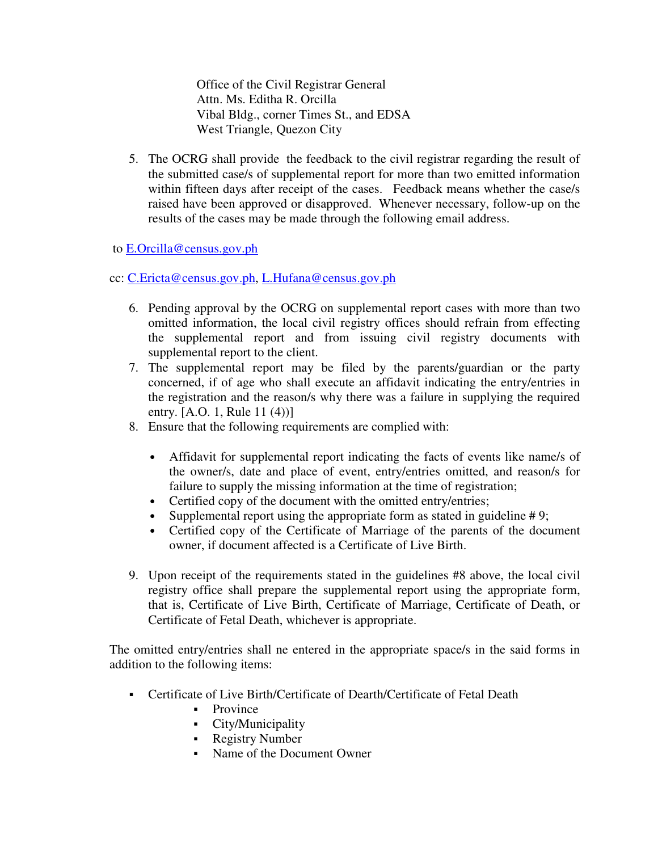Office of the Civil Registrar General Attn. Ms. Editha R. Orcilla Vibal Bldg., corner Times St., and EDSA West Triangle, Quezon City

5. The OCRG shall provide the feedback to the civil registrar regarding the result of the submitted case/s of supplemental report for more than two emitted information within fifteen days after receipt of the cases. Feedback means whether the case/s raised have been approved or disapproved. Whenever necessary, follow-up on the results of the cases may be made through the following email address.

## to E.Orcilla@census.gov.ph

## cc: C.Ericta@census.gov.ph, L.Hufana@census.gov.ph

- 6. Pending approval by the OCRG on supplemental report cases with more than two omitted information, the local civil registry offices should refrain from effecting the supplemental report and from issuing civil registry documents with supplemental report to the client.
- 7. The supplemental report may be filed by the parents/guardian or the party concerned, if of age who shall execute an affidavit indicating the entry/entries in the registration and the reason/s why there was a failure in supplying the required entry. [A.O. 1, Rule 11 (4))]
- 8. Ensure that the following requirements are complied with:
	- Affidavit for supplemental report indicating the facts of events like name/s of the owner/s, date and place of event, entry/entries omitted, and reason/s for failure to supply the missing information at the time of registration;
	- Certified copy of the document with the omitted entry/entries;
	- Supplemental report using the appropriate form as stated in guideline  $#9$ ;
	- Certified copy of the Certificate of Marriage of the parents of the document owner, if document affected is a Certificate of Live Birth.
- 9. Upon receipt of the requirements stated in the guidelines #8 above, the local civil registry office shall prepare the supplemental report using the appropriate form, that is, Certificate of Live Birth, Certificate of Marriage, Certificate of Death, or Certificate of Fetal Death, whichever is appropriate.

The omitted entry/entries shall ne entered in the appropriate space/s in the said forms in addition to the following items:

- Certificate of Live Birth/Certificate of Dearth/Certificate of Fetal Death
	- Province
	- City/Municipality
	- Registry Number
	- Name of the Document Owner